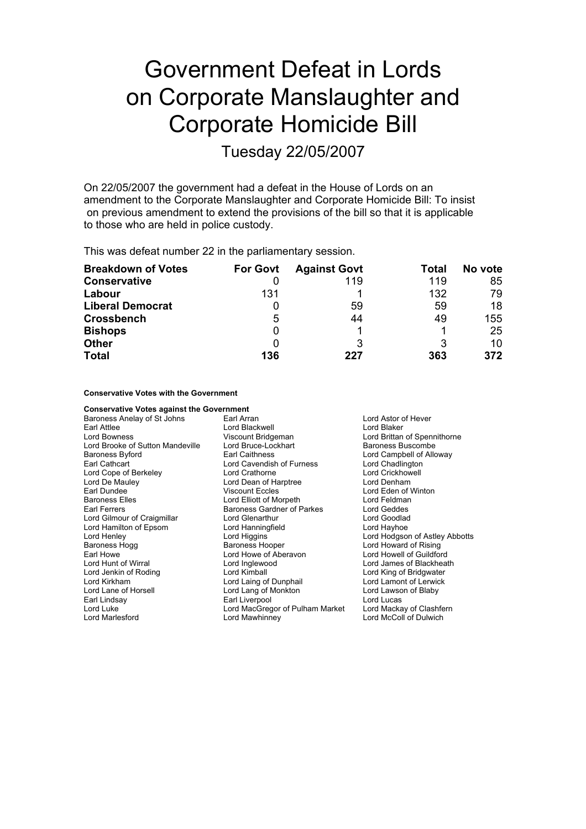# Government Defeat in Lords on Corporate Manslaughter and Corporate Homicide Bill

Tuesday 22/05/2007

On 22/05/2007 the government had a defeat in the House of Lords on an amendment to the Corporate Manslaughter and Corporate Homicide Bill: To insist on previous amendment to extend the provisions of the bill so that it is applicable to those who are held in police custody.

This was defeat number 22 in the parliamentary session.

| <b>Breakdown of Votes</b> | <b>For Govt</b> | <b>Against Govt</b> | Total | No vote |
|---------------------------|-----------------|---------------------|-------|---------|
| <b>Conservative</b>       |                 | 119                 | 119   | 85      |
| Labour                    | 131             |                     | 132   | 79      |
| <b>Liberal Democrat</b>   |                 | 59                  | 59    | 18      |
| <b>Crossbench</b>         | 5               | 44                  | 49    | 155     |
| <b>Bishops</b>            | 0               |                     |       | 25      |
| <b>Other</b>              |                 | 3                   | 3     | 10      |
| <b>Total</b>              | 136             | 227                 | 363   | 372     |

### **Conservative Votes with the Government**

**Conservative Votes against the Government** Baroness Anelay of St Johns Earl Arran Earl Arran Lord Astor of Hever Earl Attlee **Communist Control Control Control Control Control Control Control Control Control Control Control Control Control Control Control Control Control Control Control Control Control Control Control Control Control** Viscount Bridgeman Lord Brittan of Spennithorne<br>
Lord Bruce-Lockhart<br>
Baroness Buscombe Lord Brooke of Sutton Mandeville Lord Bruce-Lockhart Baroness Buscombe Baroness Byford **Earl Caithness** Lord Campbell of Alloway Lord Campbell of Alloway Earl Cathcart **Cathcart** Lord Cavendish of Furness **Lord Chadlington**<br>
Lord Cope of Berkeley **Communication** Lord Crathorne **Lord Chadlington** Lord Cope of Berkeley<br>Lord De Mauley Lord Dean of Harptree **Republic Lord Denham** Earl Dundee **Viscount Eccles** Lord Eden of Winton<br>
Baroness Elles **Lord Elliott** of Morpeth **Corpus Lord Feldman** Baroness Elles **Lord Elliott of Morpeth** Lord Elliott of Morpeth Lord Feldman<br>
Earl Ferrers **Lord Geddes** Baroness Gardner of Parkes Lord Geddes Baroness Gardner of Parkes Lord Gilmour of Craigmillar Lord Glenarthur Lord Goodlad Lord Hamilton of Epsom Lord Hanningfield Lord Hayhoe Lord Henley **Lord Higgins Lord Hotel Cord Hotel Abbotts**<br>
Baroness Hoque Baroness Hooper **Lord Howard of Rising** Baroness Hooper **Lord Howard of Rising** Earl Howe Lord Howe of Aberavon Lord Howell of Guildford Lord Hunt of Wirral **Communist Conditional Lord Inglewood** Cord James of Blackheath<br>
Lord Jenkin of Roding **Communist Cord King and Cord Cord Cord King of Bridgwater** Lord King of Bridgwater Lord Kirkham Lord Laing of Dunphail Lord Lamont of Lerwick Lord Lane of Horsell Lord Lang of Monkton Lord Lawson of Blaby Earl Lindsay Earl Liverpool Earl Lindsay Earl Lindsa y Lord Lucas<br>
Lord Luke Clashfern Lord MacGregor of Pulham Market Lord Mackay of Clashfern Lord MacGregor of Pulham Market Lord Marlesford Lord Mawhinney Lord McColl of Dulwich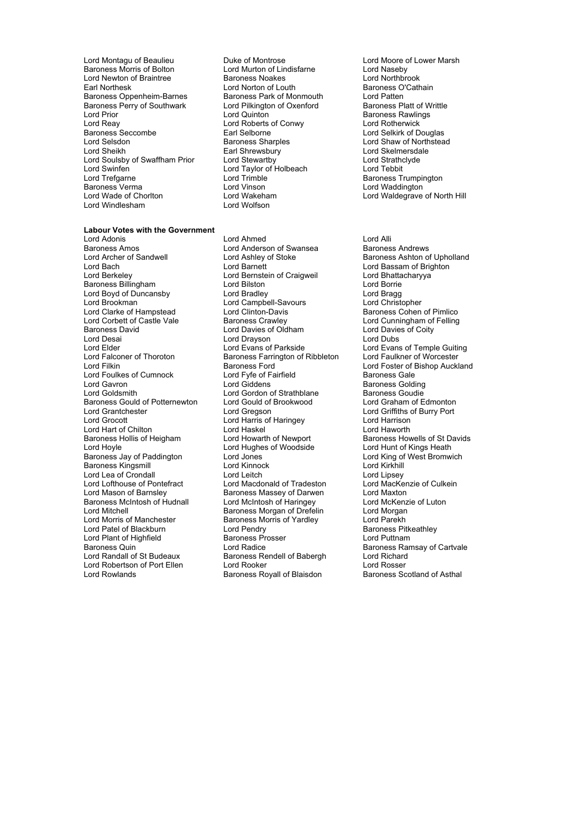Lord Montagu of Beaulieu **Duke of Montrose** Lord Moore of Lower Marsh<br>
Baroness Morris of Bolton **Lord Murton of Lindisfarne** Lord Naseby Lord Newton of Braintree **Face Baroness Noakes** Lord Northbrook<br>
Earl Northesk **Face Lord Norton of Louth** Baroness O'Cathain Earl Northesk Lord Norton of Louth Baroness O'Carl Norton of Louth Baroness O'Cathain Baroness O'Cathainnes O'<br>Baroness Oppenheim-Barnes Baroness Park of Monmouth Lord Patten Baroness Oppenheim-Barnes Baroness Park of Monmouth Lord Patten<br>Baroness Perry of Southwark Lord Pilkington of Oxenford Baroness Platt of Writtle Baroness Perry of Southwark Lord Pilkington Cord Prior Cord Pilkington Lord Prior Lord Prior Lord Cuinton Baroness Rawlings<br>
Lord Reay Lord Roberts of Conwy Lord Rotherwick Lord Reay<br>
Baroness Seccombe<br>
Earl Selborne<br>
Earl Selborne Baroness Seccombe Earl Selborne Carl Sels Lord Selkirk of Douglas<br>
Lord Selsdon<br>
Lord Shaw of Northstea Lord Sheikh **Earl Shrewsbury Communist Communist Communist Communist Communist Communist Communist Communist Communist Communist Communist Communist Communist Communist Communist Communist Communist Communist Communist Com** Lord Soulsby of Swaffham Prior Lord Stewartby **Communist Communist Communist Communist Communist Communist Communist Communist Communist Communist Communist Communist Communist Communist Communist Communist Communist Commu** Lord Swinfen **Lord Taylor of Holbeach**<br>
Lord Trefaarne **Contained Exercise**<br>
Lord Trimble Baroness Verma Lord Vinson Lord Waddington Lord Windlesham

**Labour Votes with the Government**

Lord Murton of Lindisfarne **Lord Maseby**<br>Baroness Noakes **Lord Northbrook** Lord Trimble<br>
Lord Vinson<br>
Lord Vinson<br>
Lord Waddington Lord Wakeham **Lord Waldegrave of North Hill**<br>
Lord Wolfson

# Lord Adonis<br>
Lord Annes Lord Ahmed Cord Anderson of Swansea<br>
Lord Anderson of Swansea<br>
Baroness Andrews Baroness Amos<br>
Lord Archer of Sandwell<br>
Lord Ashlev of Stoke<br>
Lord Ashlev of Stoke Lord Archer of Sandwell **Repart Club Lord Ashley of Stoke** Baroness Ashton of Upholland Lord Baroness Ashton of Upholland Lord Baroness Ashton of Upholland Lord Baroness Ashton of Upholland Lord Berkeley **Lord Bernstein of Craigweil** Lord Bhattacharyya<br>
Baroness Billingham **Lord Bilston** Lord Borrie Lord Borrie Baroness Billingham Lord Bilston Lord Borrie Lord Boyd of Duncansby Lord Bradley Cord Bragg Lord Bragg Lord Bragg Lord Bragg Lord Bragg Lord Bragg Lord Bragg Lord Bragg Lord Bragg Lord Bragg Lord Christopher Lord Clarke of Hampstead Lord Clinton-Davis Corporation Baroness Cohen of Pimlico<br>
Lord Corpett of Castle Vale Baroness Crawley Corporation Lord Cunningham of Felling Lord Corbett of Castle Vale **Baroness Crawley** Lord Cunningham of Felling<br>
Baroness David Lord Davies of Oldham **Lord Davies of Colty** Lord Desai **Lord Drayson**<br>
Lord Elder **Lord Evans of Parkside** Lord Elder Lord Evans of Parkside Lord Evans of Temple Guiting<br>
Lord Ealconer of Thoroton Baroness Farrington of Ribbleton Lord Faulkner of Worcester Lord Falconer of Thoroton Baroness Farrington of Ribbleton<br>Lord Filkin **Baroness Ford** Lord Foulkes of Cumnock Lord Fyfe of Fairfield<br>
Lord Gavron Cumnock Lord Giddens
Lord Gavron Baroness Goldi Lord Gavron Lord Giddens Communication Care Baroness Golding<br>Cord Goldsmith Lord Gordon of Strathblane Baroness Goudie Baroness Gould of Potternewton Lord Grantchester Lord Gregson Lord Griffiths of Burry Port Lord Hart of Chilton<br>Baroness Hollis of Heigham Lord Howarth of Newport Lord Hoyle Lord Hughes of Woodside Lord Hunt of Kings Heath<br>Baroness Jav of Paddington Lord Jones Lord School Lord King of West Bromwich Baroness Jay of Paddington Baroness Kingsmill **Lord Kinnock** Lord Kinnock Lord Kirkhill Lord Lea of Crondall **Lord Leitch** Lord Leitch Lord Lipsey<br>
Lord Lofthouse of Pontefract Lord Macdonald of Tradeston Lord MacKenzie of Culkein Lord Lofthouse of Pontefract Lord Macdonald of Tradeston Lord MacKenzie of Pontefract Lord MacKenzie of Culte<br>Lord Mason of Barnsley Baroness Massey of Darwen Lord Maxton Lord Mason of Barnsley<br>
Lord Mason of Barnsley Baroness Massey of Darwen<br>
Baroness McIntosh of Hudnall Lord McIntosh of Haringey Lord McKenzie of Luton Baroness McIntosh of Hudnall Lord McIntosh of Haringey Lord McKenz<br>Lord Mitchell Cord Morgan Baroness Morgan of Drefelin Lord Morgan Lord Mitchell<br>
Lord Morris of Manchester<br>
Baroness Morris of Yardley Lord Morris of Manchester **Baroness Morris of Yardley** Lord Parekh<br>Lord Patel of Blackburn **Corris Lord Pendry** Baroness Pit Lord Plant of Highfield **Exercise** Baroness Prosser **Lord Puttnam**<br>Baroness Quin **Baroness Putter Lord Radice** Corporation Baroness Rar Baroness Quin  $\overline{\phantom{a}}$  Lord Radice  $\overline{\phantom{a}}$  Baroness Ramsay of Cartvale Lord Randall of St Budeaux Baroness Rendell of Babergh Lord Richard Lord Robertson of Port Ellen Lord Rooker Lord Rosser<br>
Lord Rowlands Cord Rosser<br>
Lord Rowlands Cordinal of Asthal<br>
Baroness Royall of Blaisdon Baroness Scotland of Asthal

Lord Braate,<br>Lord Campbell-Savours **Example 2** Lord Davies of Oldham Lord Davies Coity<br>
Lord Drayson<br>
Lord Dubs Lord Gordon of Strathblane Baroness Goudie<br>
Lord Gould of Brookwood Lord Graham of Edmonton Lord Harris of Haringey **Lord Harrison**<br>Lord Haskel **Lord Haworth** Lord Pendry<br>
Baroness Prosser<br>
Lord Puttnam Express Rendell of Babergh Lord Richard<br>
Lord Rooker Lord Rosser Baroness Royall of Blaisdon

Lord Shaw of Northstead

Lord Bassam of Brighton Baroness Ford Text Lord Foster of Bishop Auckland<br>
Lord Fyfe of Fairfield Text Baroness Gale Baroness Howells of St Davids<br>Lord Hunt of Kings Heath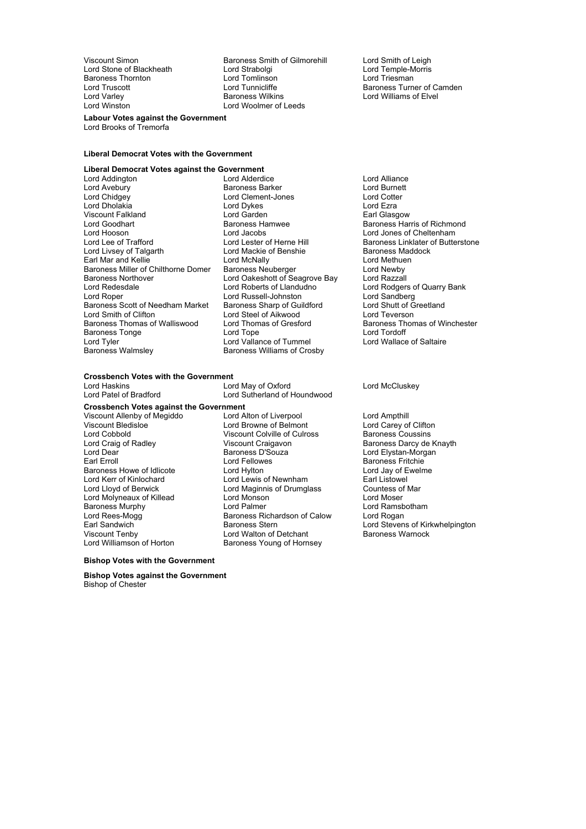Baroness Thornton Lord Tomlinson<br>Lord Truscott Lord Tunnicliffe

Viscount Simon **Baroness Smith of Gilmorehill** Lord Smith of Leigh<br>
Lord Stabolgi Lord Stabolgi Lord Temple-Morris Lord Stone of Blackheath Lord Strabolgi **Lord Temple-Morris Cord Temple-Morris Cord Temple-Morris Cord Temple-Morris Cord Temple-Morris Cord Temple-Morris Cord Temple-Morris Cord Temple-Morris Cord Triesman** Lord Varley **Baroness Wilkins** Elvel Baroness Wilkins **Lord Williams of Elvel**<br>
Lord Winston Lord Woolmer of Leeds Lord Woolmer of Leeds

Lord Truscott **Lord Tunnicliffe** Exercise Baroness Turner of Camden<br>
Lord Varley **Constant Camen Baroness Wilkins Constant Constant Lord Williams of Elvel** 

**Labour Votes against the Government** Lord Brooks of Tremorfa

#### **Liberal Democrat Votes with the Government**

# **Liberal Democrat Votes against the Government**

Lord Addington **Lord Alliance** Lord Alliance Lord Alliance Lord Alliance Lord Alliance Lord Alliance Lord Alliance Lord Alliance Lord Alliance Lord Burnett Lord Avebury **Communist Communist Baroness Barker Communist Communist Communist Communist Communist Communist Communist Communist Communist Communist Communist Communist Communist Communist Communist Communist Communist Co** Lord Dholakia Viscount Falkland **National Control Control Carden** Earl Glasgow<br>
References Harmond Baroness Hamwee<br>
Baroness Harmond Baroness Hamwee Lord Goodhart **Baroness Hamwee** Baroness Hamilton Baroness Harris of Richmond<br>
Lord Hooson **Baroness Harris of American**<br>
Lord Hooson Lord Hooson Lord Jacobs Lord Jacobs Lord Jones of Cheltenham<br>Lord Lee of Trafford Lord Lester of Herne Hill Baroness Linklater of Butte Lord Livsey of Talgarth **Lord Mackie of Benshie** Baroness Maddock Earl Mar and Kellie Lord Hord McNally Lord Methuen<br>Baroness Miller of Chilthorne Domer Baroness Neuberger Lord Newby Baroness Miller of Chilthorne Domer Baroness Northover **Lord Oakeshott of Seagrove Bay** Lord Razzall<br>
Lord Redesdale **Corporation**<br>
Lord Roberts of Llandudno Lord Rodgers Lord Redesdale **Lord Roberts of Llandudno** Lord Rodgers of Quarry Bank<br>
Lord Rober **Lord Russell-Johnston** Lord Sandberg<br>
Lord Rober Baroness Scott of Needham Market Lord Smith of Clifton **Lord Steel of Aikwood** Lord Teverson **Lord Teverson**<br>
Baroness Thomas of Walliswood Lord Thomas of Gresford Baroness Thom Baroness Tonge **Lack Constructs** Lord Tope **Lord Tope** Lord Tordoff Lord Tordoff Lord Tyler Lord Tyler Lord Tyler<br>
Lord Tyler Lord Lord Vallance of Tummel Lord Lord Wallace of Saltaire Lord Tyler **Lord Vallance of Tummel**<br>
Baroness Walmsley **Consumers** Baroness Williams of Cros

Lord Clement-Jones Lord Cotte<br>
Lord Dykes Lord Ezra Lord Russell-Johnston Lord Sandberg<br>Baroness Sharp of Guildford Lord Shutt of Greetland Baroness Williams of Crosby

Baroness Linklater of Butterstone Baroness Thoma of Walliswood s Lord Thomas of Gresford Baroness Thomas of Winchester

# **Crossbench Votes with the Government**<br>**V** Ord Haskins

Lord Haskins **Lord May of Oxford** Lord McCluskey<br>
Lord Patel of Bradford **Lord Sutherland of Houndwood** Lord Patel of Bradford

**Crossbench Votes against the Government**<br>Viscount Allenby of Megiddo **the against Lord Alton of Liverpool** Viscount Allenby of Megiddo Lord Alton of Liverpool Lord Ampthill Lord Cobbold Viscount Colville of Culross<br>
Lord Craig of Radley<br>
Viscount Craigavon Lord Dear **Constanting Community Constanting Community** Corresponding Lord Elystan-Morgan<br>Bar Baroness Fritchie Baroness Howe of Idlicote Lord Hylton Lord Day of Exercise Lord Jay of Exercise Lord Jay of Exercise Lord Jay of Exercise Lord Jay of Exercise Lord Jay of Exercise Lord Jay of Exercise Lord Jay of Exercise Lord Jay of Lord Lord Kerr of Kinlochard Lord Lewis of Newnham Lord Learl Listowel<br>
Lord Lord Lord Lord Maginnis of Drumglass Countess of Mar Lord Molyneaux of Killead Lord Monson Lord Moser Baroness Murphy Lord Palmer Lord Ramsbotham Lord Rees-Mogg<br>Lord Rees-Mogg **Baroness Richardson of Calow**<br>Earl Sandwich **Baroness** Stern Earl Sandwich **Exercise Stern Baroness Stern** Earl Sandwich Lord Stevens of Kirkwhelpington<br>
Lord Walton of Detchant Baroness Warnock<br>
Baroness Warnock Viscount Tenby Lord Walton of Detchant<br>
Lord Williamson of Horton Baroness Young of Horn

Lord Sutherland of Houndwood Lord Browne of Belmont Lord Carey of Clifton<br>Viscount Colville of Culross Baroness Coussins Lord Fellowes **Baroness Fritchie**<br>
Lord Hylton **Baroness Fritchie**<br>
Lord Jav of Ewelme Lord Maginnis of Drumglass Countess of Lord Moser Baroness Young of Hornsey

Baroness Darcy de Knayth

#### **Bishop Votes with the Government**

**Bishop Votes against the Government** Bishop of Chester